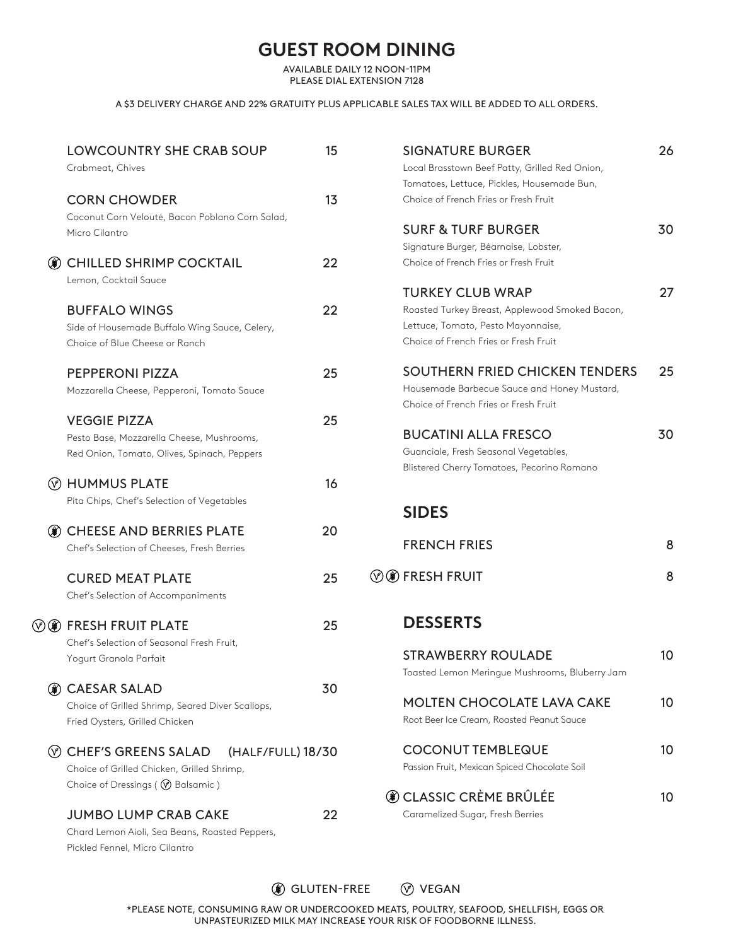# **GUEST ROOM DINING**

AVAILABLE DAILY 12 NOON-11PM PLEASE DIAL EXTENSION 7128

#### A \$3 DELIVERY CHARGE AND 22% GRATUITY PLUS APPLICABLE SALES TAX WILL BE ADDED TO ALL ORDERS.

|          | <b>LOWCOUNTRY SHE CRAB SOUP</b><br>Crabmeat, Chives                                                                                                   | 15 | <b>SIGNATURE BURGER</b><br>Local Brasstown Beef Patty, Grilled Red Onion,<br>Tomatoes, Lettuce, Pickles, Housemade Bun,                                  | 26 |
|----------|-------------------------------------------------------------------------------------------------------------------------------------------------------|----|----------------------------------------------------------------------------------------------------------------------------------------------------------|----|
|          | <b>CORN CHOWDER</b><br>Coconut Corn Velouté, Bacon Poblano Corn Salad,                                                                                | 13 | Choice of French Fries or Fresh Fruit                                                                                                                    |    |
|          | Micro Cilantro                                                                                                                                        |    | <b>SURF &amp; TURF BURGER</b><br>Signature Burger, Béarnaise, Lobster,                                                                                   | 30 |
| (第)      | <b>CHILLED SHRIMP COCKTAIL</b><br>Lemon, Cocktail Sauce                                                                                               | 22 | Choice of French Fries or Fresh Fruit                                                                                                                    |    |
|          | <b>BUFFALO WINGS</b><br>Side of Housemade Buffalo Wing Sauce, Celery,<br>Choice of Blue Cheese or Ranch                                               | 22 | <b>TURKEY CLUB WRAP</b><br>Roasted Turkey Breast, Applewood Smoked Bacon,<br>Lettuce, Tomato, Pesto Mayonnaise,<br>Choice of French Fries or Fresh Fruit | 27 |
|          | <b>PEPPERONI PIZZA</b><br>Mozzarella Cheese, Pepperoni, Tomato Sauce                                                                                  | 25 | SOUTHERN FRIED CHICKEN TENDERS<br>Housemade Barbecue Sauce and Honey Mustard,<br>Choice of French Fries or Fresh Fruit                                   | 25 |
|          | <b>VEGGIE PIZZA</b><br>Pesto Base, Mozzarella Cheese, Mushrooms,<br>Red Onion, Tomato, Olives, Spinach, Peppers                                       | 25 | <b>BUCATINI ALLA FRESCO</b><br>Guanciale, Fresh Seasonal Vegetables,<br>Blistered Cherry Tomatoes, Pecorino Romano                                       | 30 |
|          | (V) HUMMUS PLATE<br>Pita Chips, Chef's Selection of Vegetables                                                                                        | 16 |                                                                                                                                                          |    |
|          |                                                                                                                                                       |    | <b>SIDES</b>                                                                                                                                             |    |
| (第)      | <b>CHEESE AND BERRIES PLATE</b><br>Chef's Selection of Cheeses, Fresh Berries                                                                         | 20 | <b>FRENCH FRIES</b>                                                                                                                                      | 8  |
|          | <b>CURED MEAT PLATE</b><br>Chef's Selection of Accompaniments                                                                                         | 25 | <b><i>O</i> @</b> FRESH FRUIT                                                                                                                            | 8  |
|          | <b>OO</b> FRESH FRUIT PLATE<br>Chef's Selection of Seasonal Fresh Fruit,                                                                              | 25 | <b>DESSERTS</b>                                                                                                                                          |    |
|          | Yogurt Granola Parfait                                                                                                                                |    | <b>STRAWBERRY ROULADE</b><br>Toasted Lemon Meringue Mushrooms, Bluberry Jam                                                                              | 10 |
| 6€)      | <b>CAESAR SALAD</b><br>Choice of Grilled Shrimp, Seared Diver Scallops,<br>Fried Oysters, Grilled Chicken                                             | 30 | <b>MOLTEN CHOCOLATE LAVA CAKE</b><br>Root Beer Ice Cream, Roasted Peanut Sauce                                                                           | 10 |
| $(\vee)$ | <b>CHEF'S GREENS SALAD</b><br>(HALF/FULL) 18/30<br>Choice of Grilled Chicken, Grilled Shrimp,                                                         |    | <b>COCONUT TEMBLEQUE</b><br>Passion Fruit, Mexican Spiced Chocolate Soil                                                                                 | 10 |
|          | Choice of Dressings ( V Balsamic )<br><b>JUMBO LUMP CRAB CAKE</b><br>Chard Lemon Aioli, Sea Beans, Roasted Peppers,<br>Pickled Fennel, Micro Cilantro | 22 | <b>O CLASSIC CRÈME BRÛLÉE</b><br>Caramelized Sugar, Fresh Berries                                                                                        | 10 |

# **(ii)** GLUTEN-FREE  $\oslash$  VEGAN

\*PLEASE NOTE, CONSUMING RAW OR UNDERCOOKED MEATS, POULTRY, SEAFOOD, SHELLFISH, EGGS OR UNPASTEURIZED MILK MAY INCREASE YOUR RISK OF FOODBORNE ILLNESS.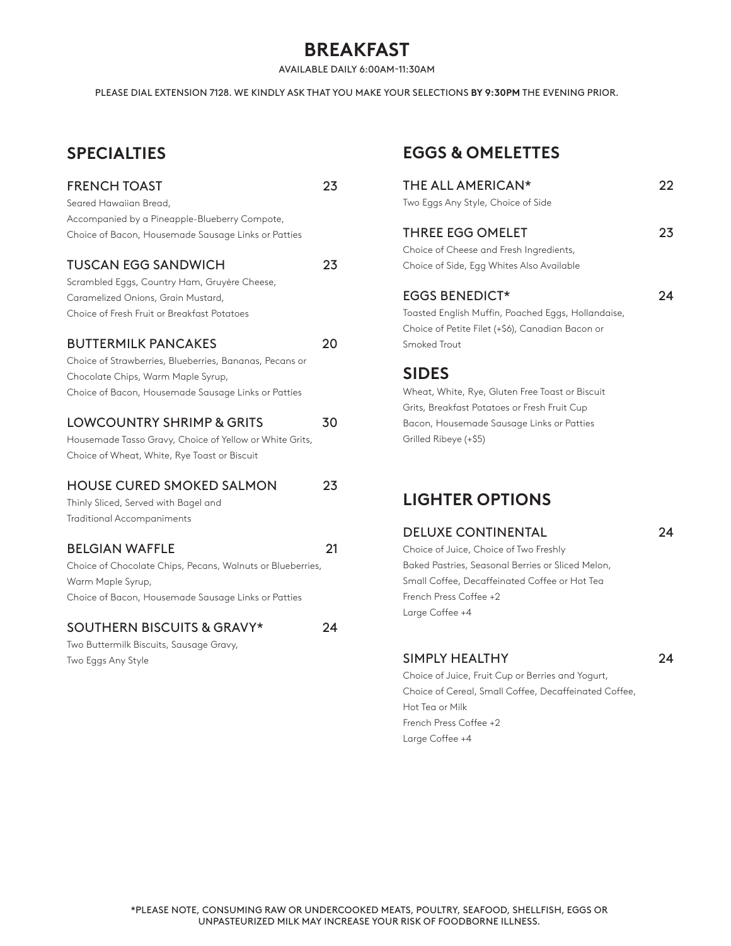# **BREAKFAST**

AVAILABLE DAILY 6:00AM-11:30AM

PLEASE DIAL EXTENSION 7128. WE KINDLY ASK THAT YOU MAKE YOUR SELECTIONS **BY 9:30PM** THE EVENING PRIOR.

# **SPECIALTIES**

# FRENCH TOAST 23 Seared Hawaiian Bread, Accompanied by a Pineapple-Blueberry Compote, Choice of Bacon, Housemade Sausage Links or Patties TUSCAN EGG SANDWICH 23 Scrambled Eggs, Country Ham, Gruyère Cheese, Caramelized Onions, Grain Mustard, Choice of Fresh Fruit or Breakfast Potatoes BUTTERMILK PANCAKES 20 Choice of Strawberries, Blueberries, Bananas, Pecans or Chocolate Chips, Warm Maple Syrup, Choice of Bacon, Housemade Sausage Links or Patties LOWCOUNTRY SHRIMP & GRITS 30 Housemade Tasso Gravy, Choice of Yellow or White Grits, Choice of Wheat, White, Rye Toast or Biscuit HOUSE CURED SMOKED SALMON 23 Thinly Sliced, Served with Bagel and Traditional Accompaniments BELGIAN WAFFLE 21 Choice of Chocolate Chips, Pecans, Walnuts or Blueberries, Warm Maple Syrup, Choice of Bacon, Housemade Sausage Links or Patties SOUTHERN BISCUITS & GRAVY\* 24 Two Buttermilk Biscuits, Sausage Gravy, Two Eggs Any Style

# **EGGS & OMELETTES**

| THE ALL AMERICAN*<br>Two Eggs Any Style, Choice of Side                                                                                                      | 22 |
|--------------------------------------------------------------------------------------------------------------------------------------------------------------|----|
| THREE EGG OMELET<br>Choice of Cheese and Fresh Ingredients,<br>Choice of Side, Egg Whites Also Available                                                     | 23 |
| <b>EGGS BENEDICT*</b><br>Toasted English Muffin, Poached Eggs, Hollandaise,<br>Choice of Petite Filet (+\$6), Canadian Bacon or<br>Smoked Trout              | 24 |
| <b>SIDES</b><br>Wheat, White, Rye, Gluten Free Toast or Biscuit<br>Grits, Breakfast Potatoes or Fresh Fruit Cup<br>Bacon, Housemade Sausage Links or Patties |    |

### **LIGHTER OPTIONS**

Grilled Ribeye (+\$5)

#### DELUXE CONTINENTAL 24

Choice of Juice, Choice of Two Freshly Baked Pastries, Seasonal Berries or Sliced Melon, Small Coffee, Decaffeinated Coffee or Hot Tea French Press Coffee +2 Large Coffee +4

SIMPLY HEALTHY 24 Choice of Juice, Fruit Cup or Berries and Yogurt, Choice of Cereal, Small Coffee, Decaffeinated Coffee, Hot Tea or Milk French Press Coffee +2 Large Coffee +4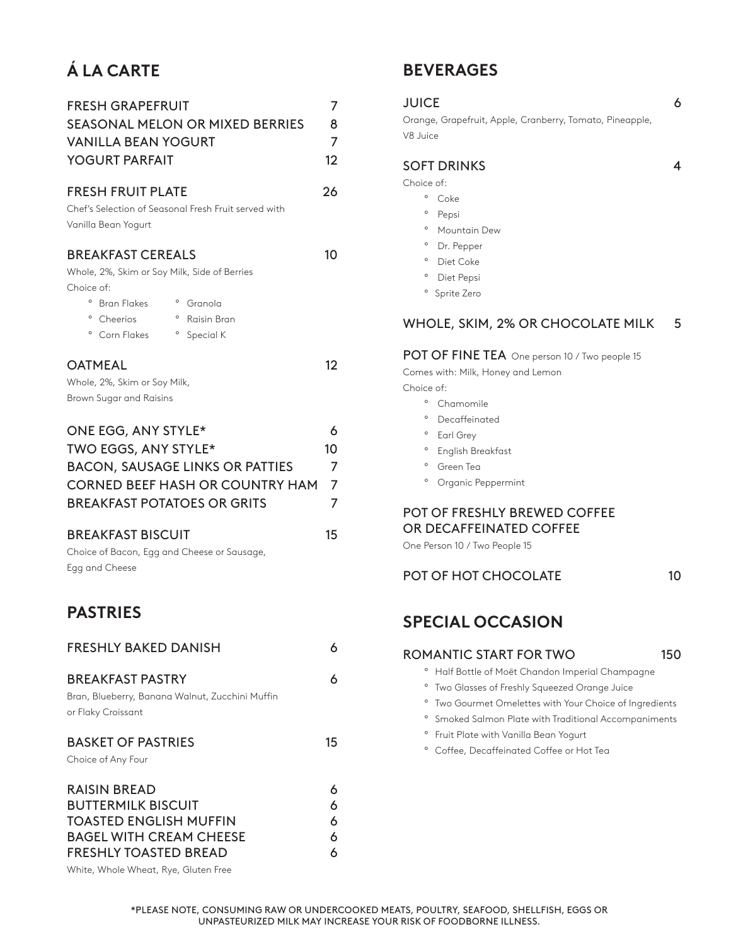# **Á LA CARTE**

| <b>FRESH GRAPEFRUIT</b><br><b>SEASONAL MELON OR MIXED BERRIES</b><br><b>VANILLA BEAN YOGURT</b><br><b>YOGURT PARFAIT</b>                                                                                                                                           | 7<br>8<br>$\overline{7}$<br>12 |
|--------------------------------------------------------------------------------------------------------------------------------------------------------------------------------------------------------------------------------------------------------------------|--------------------------------|
| <b>FRESH FRUIT PLATE</b><br>Chef's Selection of Seasonal Fresh Fruit served with<br>Vanilla Bean Yogurt                                                                                                                                                            | 26                             |
| <b>BREAKFAST CEREALS</b><br>Whole, 2%, Skim or Soy Milk, Side of Berries<br>Choice of:<br>$\circ$<br>$\circ$<br><b>Bran Flakes</b><br>Granola<br><sup>o</sup> Raisin Bran<br>$\circ$<br>Cheerios<br>° Corn Flakes<br>° Special K                                   | 10                             |
| <b>OATMEAL</b><br>Whole, 2%, Skim or Soy Milk,<br>Brown Sugar and Raisins                                                                                                                                                                                          | $12 \overline{ }$              |
| ONE EGG, ANY STYLE*<br>TWO EGGS, ANY STYLE*<br><b>BACON, SAUSAGE LINKS OR PATTIES</b><br><b>CORNED BEEF HASH OR COUNTRY HAM</b><br><b>BREAKFAST POTATOES OR GRITS</b><br><b>BREAKFAST BISCUIT</b><br>Choice of Bacon, Egg and Cheese or Sausage,<br>Egg and Cheese | 6<br>10<br>7<br>7<br>7<br>15   |
| <b>PASTRIES</b>                                                                                                                                                                                                                                                    |                                |
| <b>FRESHLY BAKED DANISH</b>                                                                                                                                                                                                                                        | 6                              |
| <b>BREAKFAST PASTRY</b><br>Bran, Blueberry, Banana Walnut, Zucchini Muffin<br>or Flaky Croissant                                                                                                                                                                   | 6                              |
| <b>BASKET OF PASTRIES</b><br>Choice of Any Four                                                                                                                                                                                                                    | 15                             |
| <b>RAISIN BREAD</b><br><b>BUTTERMILK BISCUIT</b><br><b>TOASTED ENGLISH MUFFIN</b><br><b>BAGEL WITH CREAM CHEESE</b>                                                                                                                                                | 6<br>6<br>6<br>6               |

FRESHLY TOASTED BREAD 6

White, Whole Wheat, Rye, Gluten Free

# **BEVERAGES**

| <b>JUICE</b><br>Orange, Grapefruit, Apple, Cranberry, Tomato, Pineapple,<br>V8 Juice                                                                                                                                                                                                                                                                                  | 6   |
|-----------------------------------------------------------------------------------------------------------------------------------------------------------------------------------------------------------------------------------------------------------------------------------------------------------------------------------------------------------------------|-----|
| <b>SOFT DRINKS</b><br>Choice of:<br>$\circ$<br>Coke<br>$\circ$<br>Pepsi<br>$\circ$<br>Mountain Dew<br>$\circ$<br>Dr. Pepper<br>$\circ$<br>Diet Coke<br><sup>o</sup> Diet Pepsi<br>° Sprite Zero                                                                                                                                                                       | 4   |
| WHOLE, SKIM, 2% OR CHOCOLATE MILK<br>POT OF FINE TEA One person 10 / Two people 15<br>Comes with: Milk, Honey and Lemon<br>Choice of:<br>$\circ$<br>Chamomile<br>$\circ$<br>Decaffeinated<br>$\circ$<br>Earl Grey<br>$\circ$<br>English Breakfast<br>$\circ$<br>Green Tea<br>$\circ$<br>Organic Peppermint<br>POT OF FRESHLY BREWED COFFEE<br>OR DECAFFEINATED COFFEE | 5   |
| One Person 10 / Two People 15<br>POT OF HOT CHOCOLATE                                                                                                                                                                                                                                                                                                                 | 10  |
| <b>SPECIAL OCCASION</b>                                                                                                                                                                                                                                                                                                                                               |     |
| ROMANTIC START FOR TWO                                                                                                                                                                                                                                                                                                                                                | 150 |

- ° Half Bottle of Moët Chandon Imperial Champagne
- ° Two Glasses of Freshly Squeezed Orange Juice
- ° Two Gourmet Omelettes with Your Choice of Ingredients
- ° Smoked Salmon Plate with Traditional Accompaniments
- ° Fruit Plate with Vanilla Bean Yogurt
- ° Coffee, Decaffeinated Coffee or Hot Tea